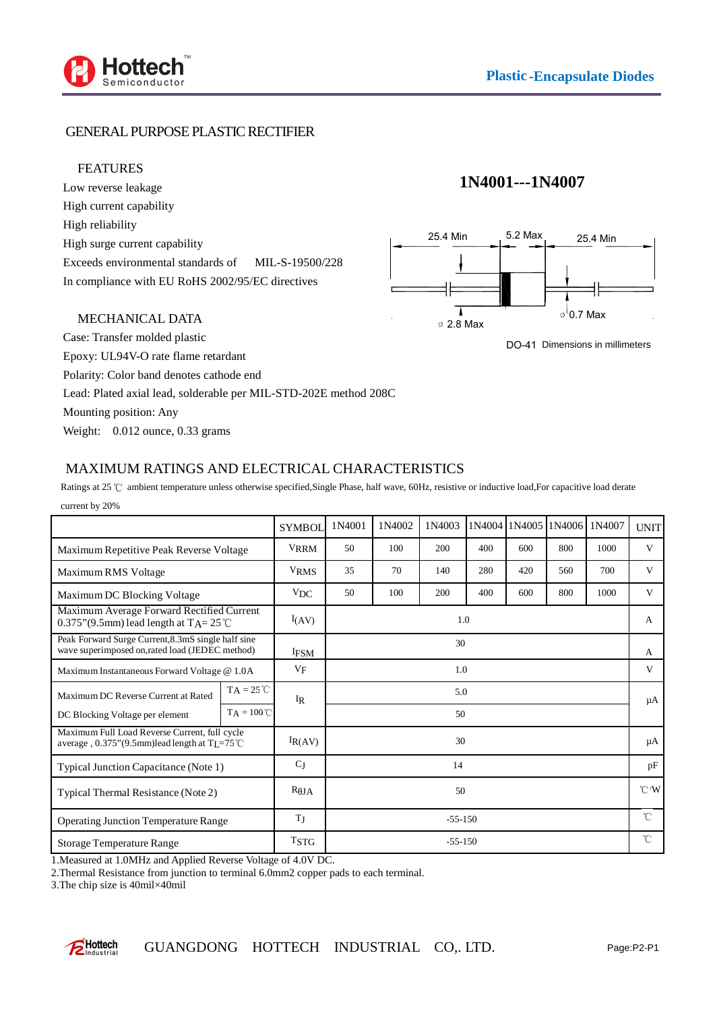



### GENERAL PURPOSE PLASTIC RECTIFIER

#### FEATURES

Low reverse leakage High current capability High reliability High surge current capability Exceeds environmental standards of MIL-S-19500/228 In compliance with EU RoHS 2002/95/EC directives

### MECHANICAL DATA

Case: Transfer molded plastic Epoxy: UL94V-O rate flame retardant Polarity: Color band denotes cathode end Lead: Plated axial lead, solderable per MIL-STD-202E method 208C Mounting position: Any Weight:  $0.012$  ounce, 0.33 grams

# **1N4001---1N4007**



DO-41 Dimensions in millimeters

### MAXIMUM RATINGS AND ELECTRICAL CHARACTERISTICS

|                                                                                                                  |                     | <b>SYMBOL</b>    | 1N4001      | 1N4002 | 1N4003 |     | 1N4004 1N4005 | 1N4006 | 1N4007 | <b>UNIT</b>                |
|------------------------------------------------------------------------------------------------------------------|---------------------|------------------|-------------|--------|--------|-----|---------------|--------|--------|----------------------------|
| Maximum Repetitive Peak Reverse Voltage                                                                          |                     | <b>VRRM</b>      | 50          | 100    | 200    | 400 | 600           | 800    | 1000   | V                          |
| Maximum RMS Voltage                                                                                              |                     | <sup>V</sup> RMS | 35          | 70     | 140    | 280 | 420           | 560    | 700    | V                          |
| Maximum DC Blocking Voltage                                                                                      |                     | $V_{DC}$         | 50          | 100    | 200    | 400 | 600           | 800    | 1000   | V                          |
| Maximum Average Forward Rectified Current<br>0.375"(9.5mm) lead length at $TA = 25^{\circ}$ C                    |                     | I(AV)            | 1.0         |        |        |     |               |        |        | A                          |
| Peak Forward Surge Current, 8.3mS single half sine<br>wave superimposed on, rated load (JEDEC method)            |                     | <b>IFSM</b>      | 30          |        |        |     |               |        |        | A                          |
| Maximum Instantaneous Forward Voltage @ 1.0A                                                                     |                     | $V_{\rm F}$      | 1.0         |        |        |     |               |        |        | V                          |
| Maximum DC Reverse Current at Rated                                                                              | $TA = 25^{\circ}C$  | IR               | 5.0         |        |        |     |               |        |        | μA                         |
| DC Blocking Voltage per element                                                                                  | $TA = 100^{\circ}C$ |                  | 50          |        |        |     |               |        |        |                            |
| Maximum Full Load Reverse Current, full cycle<br>average, $0.375$ "(9.5mm)lead length at T <sub>I</sub> $=75$ °C |                     | $I_{R(AV)}$      | 30          |        |        |     |               |        |        | μA                         |
| Typical Junction Capacitance (Note 1)                                                                            |                     | $C_J$            | 14          |        |        |     |               |        |        | pF                         |
| Typical Thermal Resistance (Note 2)                                                                              |                     | $R$ JA           | 50          |        |        |     |               |        |        | $^{\circ}$ C $^{\prime}$ W |
| <b>Operating Junction Temperature Range</b>                                                                      |                     | TJ               | $-55-150$   |        |        |     |               |        |        | $\hat{C}$                  |
| Storage Temperature Range                                                                                        |                     | <b>TSTG</b>      | $-55 - 150$ |        |        |     |               |        |        | °C                         |

Ratings at 25 °C ambient temperature unless otherwise specified,Single Phase, half wave, 60Hz, resistive or inductive load,For capacitive load derate current by 20%

1.Measured at 1.0MHz and Applied Reverse Voltage of 4.0V DC.

2.Thermal Resistance from junction to terminal 6.0mm2 copper pads to each terminal.

3.The chip size is 40mil×40mil